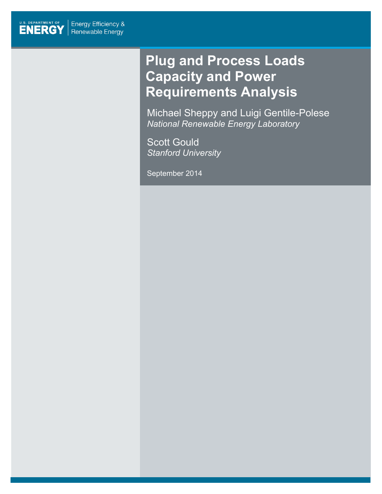

# **Plug and Process Loads Capacity and Power Requirements Analysis**

Michael Sheppy and Luigi Gentile-Polese *National Renewable Energy Laboratory*

Scott Gould *Stanford University*

September 2014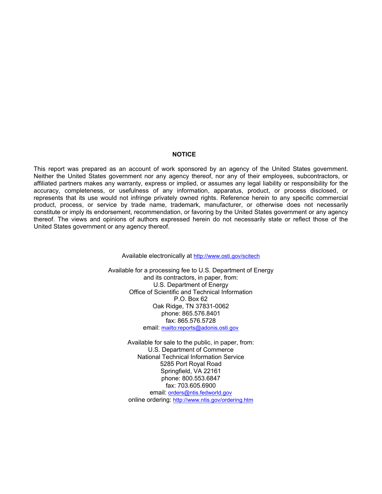#### **NOTICE**

This report was prepared as an account of work sponsored by an agency of the United States government. Neither the United States government nor any agency thereof, nor any of their employees, subcontractors, or affiliated partners makes any warranty, express or implied, or assumes any legal liability or responsibility for the accuracy, completeness, or usefulness of any information, apparatus, product, or process disclosed, or represents that its use would not infringe privately owned rights. Reference herein to any specific commercial product, process, or service by trade name, trademark, manufacturer, or otherwise does not necessarily constitute or imply its endorsement, recommendation, or favoring by the United States government or any agency thereof. The views and opinions of authors expressed herein do not necessarily state or reflect those of the United States government or any agency thereof.

Available electronically at<http://www.osti.gov/scitech>

Available for a processing fee to U.S. Department of Energy and its contractors, in paper, from: U.S. Department of Energy Office of Scientific and Technical Information P.O. Box 62 Oak Ridge, TN 37831-0062 phone: 865.576.8401 fax: 865.576.5728 email:<mailto:reports@adonis.osti.gov>

> Available for sale to the public, in paper, from: U.S. Department of Commerce National Technical Information Service 5285 Port Royal Road Springfield, VA 22161 phone: 800.553.6847 fax: 703.605.6900 email: [orders@ntis.fedworld.gov](mailto:orders@ntis.fedworld.gov) online ordering:<http://www.ntis.gov/ordering.htm>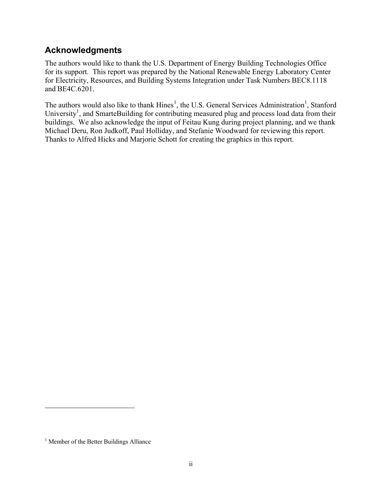### <span id="page-2-2"></span>**Acknowledgments**

The authors would like to thank the U.S. Department of Energy Building Technologies Office for its support. This report was prepared by the National Renewable Energy Laboratory Center for Electricity, Resources, and Building Systems Integration under Task Numbers BEC8.1118 and BE4C.6201.

<span id="page-2-0"></span>The authors would also like to thank  $Hines<sup>1</sup>$  $Hines<sup>1</sup>$  $Hines<sup>1</sup>$ , the U.S. General Services Administration<sup>1</sup>, Stanford University<sup>1</sup>, and SmarteBuilding for contributing measured plug and process load data from their buildings. We also acknowledge the input of Feitau Kung during project planning, and we thank Michael Deru, Ron Judkoff, Paul Holliday, and Stefanie Woodward for reviewing this report. Thanks to Alfred Hicks and Marjorie Schott for creating the graphics in this report.

 $\ddot{\phantom{a}}$ 

<span id="page-2-1"></span><sup>&</sup>lt;sup>1</sup> Member of the Better Buildings Alliance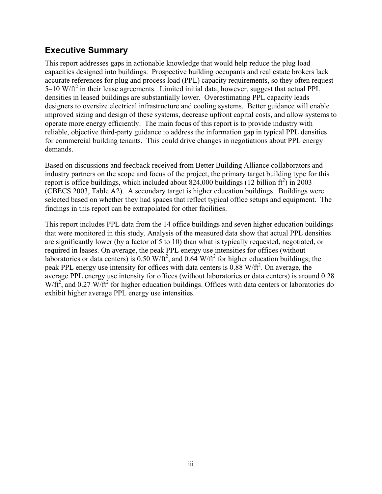### <span id="page-3-0"></span>**Executive Summary**

This report addresses gaps in actionable knowledge that would help reduce the plug load capacities designed into buildings. Prospective building occupants and real estate brokers lack accurate references for plug and process load (PPL) capacity requirements, so they often request  $5-10$  W/ft<sup>2</sup> in their lease agreements. Limited initial data, however, suggest that actual PPL densities in leased buildings are substantially lower. Overestimating PPL capacity leads designers to oversize electrical infrastructure and cooling systems. Better guidance will enable improved sizing and design of these systems, decrease upfront capital costs, and allow systems to operate more energy efficiently. The main focus of this report is to provide industry with reliable, objective third-party guidance to address the information gap in typical PPL densities for commercial building tenants. This could drive changes in negotiations about PPL energy demands.

Based on discussions and feedback received from Better Building Alliance collaborators and industry partners on the scope and focus of the project, the primary target building type for this report is office buildings, which included about  $824,000$  buildings (12 billion  $ft^2$ ) in 2003 (CBECS 2003, Table A2). A secondary target is higher education buildings. Buildings were selected based on whether they had spaces that reflect typical office setups and equipment. The findings in this report can be extrapolated for other facilities.

This report includes PPL data from the 14 office buildings and seven higher education buildings that were monitored in this study. Analysis of the measured data show that actual PPL densities are significantly lower (by a factor of 5 to 10) than what is typically requested, negotiated, or required in leases. On average, the peak PPL energy use intensities for offices (without laboratories or data centers) is 0.50 W/ft<sup>2</sup>, and 0.64 W/ft<sup>2</sup> for higher education buildings; the peak PPL energy use intensity for offices with data centers is  $0.88 \text{ W/ft}^2$ . On average, the average PPL energy use intensity for offices (without laboratories or data centers) is around 0.28  $W/\text{ft}^2$ , and 0.27 W/ $\text{ft}^2$  for higher education buildings. Offices with data centers or laboratories do exhibit higher average PPL energy use intensities.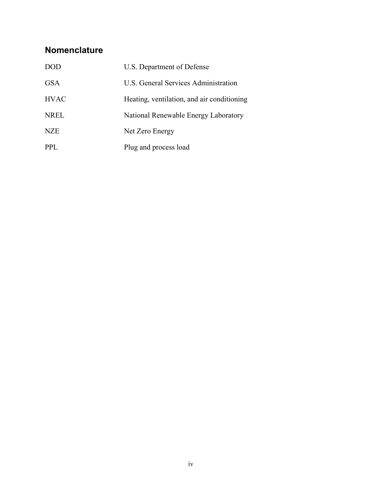## <span id="page-4-0"></span>**Nomenclature**

| <b>DOD</b>  | U.S. Department of Defense                 |
|-------------|--------------------------------------------|
| <b>GSA</b>  | U.S. General Services Administration       |
| <b>HVAC</b> | Heating, ventilation, and air conditioning |
| <b>NREL</b> | National Renewable Energy Laboratory       |
| <b>NZE</b>  | Net Zero Energy                            |
| <b>PPL</b>  | Plug and process load                      |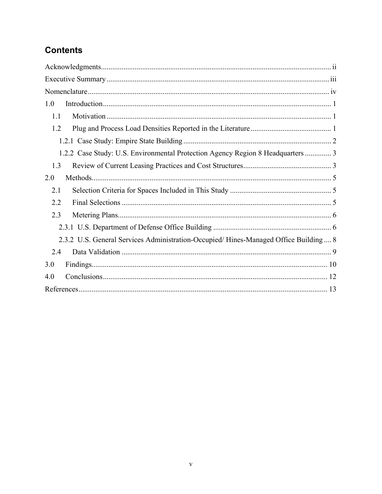## **Contents**

| 1.0                                                                                 |
|-------------------------------------------------------------------------------------|
| 1.1                                                                                 |
| 1.2                                                                                 |
|                                                                                     |
| 1.2.2 Case Study: U.S. Environmental Protection Agency Region 8 Headquarters  3     |
| 1.3                                                                                 |
| 2.0                                                                                 |
| 2.1                                                                                 |
| 2.2                                                                                 |
| 2.3                                                                                 |
|                                                                                     |
| 2.3.2 U.S. General Services Administration-Occupied/Hines-Managed Office Building 8 |
| 2.4                                                                                 |
| 3.0                                                                                 |
| 4.0                                                                                 |
|                                                                                     |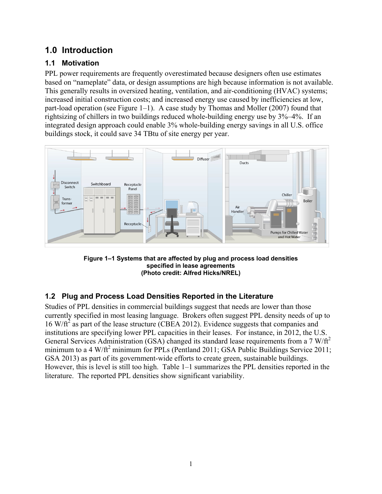### <span id="page-6-0"></span>**1.0 Introduction**

### <span id="page-6-1"></span>**1.1 Motivation**

PPL power requirements are frequently overestimated because designers often use estimates based on "nameplate" data, or design assumptions are high because information is not available. This generally results in oversized heating, ventilation, and air-conditioning (HVAC) systems; increased initial construction costs; and increased energy use caused by inefficiencies at low, part-load operation (see [Figure 1–](#page-6-3)1). A case study by Thomas and Moller (2007) found that rightsizing of chillers in two buildings reduced whole-building energy use by 3%–4%. If an integrated design approach could enable 3% whole-building energy savings in all U.S. office buildings stock, it could save 34 TBtu of site energy per year.



**Figure 1–1 Systems that are affected by plug and process load densities specified in lease agreements (Photo credit: Alfred Hicks/NREL)**

### <span id="page-6-3"></span><span id="page-6-2"></span>**1.2 Plug and Process Load Densities Reported in the Literature**

Studies of PPL densities in commercial buildings suggest that needs are lower than those currently specified in most leasing language. Brokers often suggest PPL density needs of up to  $16 \text{ W/f}^2$  as part of the lease structure (CBEA 2012). Evidence suggests that companies and institutions are specifying lower PPL capacities in their leases. For instance, in 2012, the U.S. General Services Administration (GSA) changed its standard lease requirements from a  $7 \text{ W}/\text{ft}^2$ minimum to a 4 W/ft<sup>2</sup> minimum for PPLs (Pentland 2011; GSA Public Buildings Service 2011; GSA 2013) as part of its government-wide efforts to create green, sustainable buildings. However, this is level is still too high. [Table 1–1](#page-7-1) summarizes the PPL densities reported in the literature. The reported PPL densities show significant variability.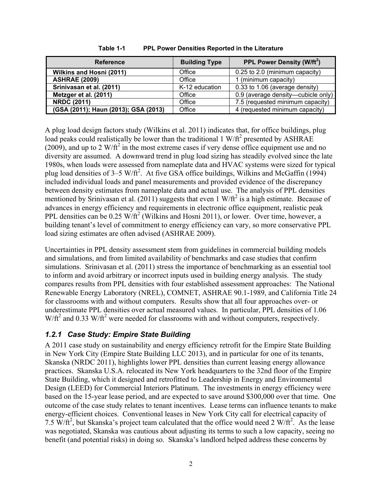<span id="page-7-1"></span>

| <b>Reference</b>                     | <b>Building Type</b> | PPL Power Density (W/ft <sup>2</sup> ) |
|--------------------------------------|----------------------|----------------------------------------|
| Wilkins and Hosni (2011)             | Office               | 0.25 to 2.0 (minimum capacity)         |
| <b>ASHRAE (2009)</b>                 | Office               | 1 (minimum capacity)                   |
| Srinivasan et al. (2011)             | K-12 education       | 0.33 to 1.06 (average density)         |
| Metzger et al. (2011)                | Office               | 0.9 (average density-cubicle only)     |
| <b>NRDC (2011)</b>                   | Office               | 7.5 (requested minimum capacity)       |
| (GSA (2011); Haun (2013); GSA (2013) | Office               | 4 (requested minimum capacity)         |

**Table 1-1 PPL Power Densities Reported in the Literature**

A plug load design factors study (Wilkins et al. 2011) indicates that, for office buildings, plug load peaks could realistically be lower than the traditional 1 W/ $\text{ft}^2$  presented by ASHRAE (2009), and up to 2 W/ $\text{ft}^2$  in the most extreme cases if very dense office equipment use and no diversity are assumed. A downward trend in plug load sizing has steadily evolved since the late 1980s, when loads were assessed from nameplate data and HVAC systems were sized for typical plug load densities of 3–5 W/ft<sup>2</sup>. At five GSA office buildings, Wilkins and McGaffin (1994) included individual loads and panel measurements and provided evidence of the discrepancy between density estimates from nameplate data and actual use. The analysis of PPL densities mentioned by Srinivasan et al. (2011) suggests that even 1 W/ft<sup>2</sup> is a high estimate. Because of advances in energy efficiency and requirements in electronic office equipment, realistic peak PPL densities can be  $0.25 \text{ W/ft}^2$  (Wilkins and Hosni 2011), or lower. Over time, however, a building tenant's level of commitment to energy efficiency can vary, so more conservative PPL load sizing estimates are often advised (ASHRAE 2009).

Uncertainties in PPL density assessment stem from guidelines in commercial building models and simulations, and from limited availability of benchmarks and case studies that confirm simulations. Srinivasan et al. (2011) stress the importance of benchmarking as an essential tool to inform and avoid arbitrary or incorrect inputs used in building energy analysis. The study compares results from PPL densities with four established assessment approaches: The National Renewable Energy Laboratory (NREL), COMNET, ASHRAE 90.1-1989, and California Title 24 for classrooms with and without computers. Results show that all four approaches over- or underestimate PPL densities over actual measured values. In particular, PPL densities of 1.06  $W/ft^2$  and 0.33 W/ft<sup>2</sup> were needed for classrooms with and without computers, respectively.

### <span id="page-7-0"></span>*1.2.1 Case Study: Empire State Building*

A 2011 case study on sustainability and energy efficiency retrofit for the Empire State Building in New York City (Empire State Building LLC 2013), and in particular for one of its tenants, Skanska (NRDC 2011), highlights lower PPL densities than current leasing energy allowance practices. Skanska U.S.A. relocated its New York headquarters to the 32nd floor of the Empire State Building, which it designed and retrofitted to Leadership in Energy and Environmental Design (LEED) for Commercial Interiors Platinum. The investments in energy efficiency were based on the 15-year lease period, and are expected to save around \$300,000 over that time. One outcome of the case study relates to tenant incentives. Lease terms can influence tenants to make energy-efficient choices. Conventional leases in New York City call for electrical capacity of 7.5  $\text{W}/\text{ft}^2$ , but Skanska's project team calculated that the office would need 2 W/ $\text{ft}^2$ . As the lease was negotiated, Skanska was cautious about adjusting its terms to such a low capacity, seeing no benefit (and potential risks) in doing so. Skanska's landlord helped address these concerns by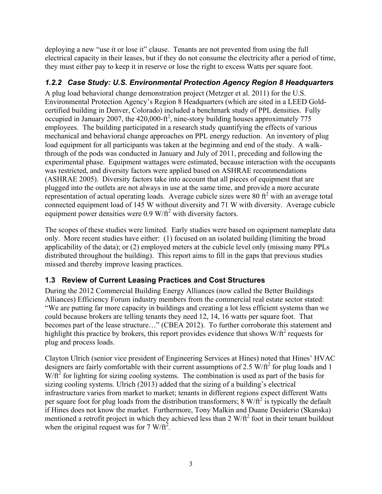deploying a new "use it or lose it" clause. Tenants are not prevented from using the full electrical capacity in their leases, but if they do not consume the electricity after a period of time, they must either pay to keep it in reserve or lose the right to excess Watts per square foot.

#### <span id="page-8-0"></span>*1.2.2 Case Study: U.S. Environmental Protection Agency Region 8 Headquarters*

A plug load behavioral change demonstration project (Metzger et al. 2011) for the U.S. Environmental Protection Agency's Region 8 Headquarters (which are sited in a LEED Goldcertified building in Denver, Colorado) included a benchmark study of PPL densities. Fully occupied in January 2007, the  $420,000$ -ft<sup>2</sup>, nine-story building houses approximately 775 employees. The building participated in a research study quantifying the effects of various mechanical and behavioral change approaches on PPL energy reduction. An inventory of plug load equipment for all participants was taken at the beginning and end of the study. A walkthrough of the pods was conducted in January and July of 2011, preceding and following the experimental phase. Equipment wattages were estimated, because interaction with the occupants was restricted, and diversity factors were applied based on ASHRAE recommendations (ASHRAE 2005). Diversity factors take into account that all pieces of equipment that are plugged into the outlets are not always in use at the same time, and provide a more accurate representation of actual operating loads. Average cubicle sizes were 80  $\text{ft}^2$  with an average total connected equipment load of 145 W without diversity and 71 W with diversity. Average cubicle equipment power densities were  $0.9 \text{ W/f}^2$  with diversity factors.

The scopes of these studies were limited. Early studies were based on equipment nameplate data only. More recent studies have either: (1) focused on an isolated building (limiting the broad applicability of the data); or (2) employed meters at the cubicle level only (missing many PPLs distributed throughout the building). This report aims to fill in the gaps that previous studies missed and thereby improve leasing practices.

### <span id="page-8-1"></span>**1.3 Review of Current Leasing Practices and Cost Structures**

During the 2012 Commercial Building Energy Alliances (now called the Better Buildings Alliances) Efficiency Forum industry members from the commercial real estate sector stated: "We are putting far more capacity in buildings and creating a lot less efficient systems than we could because brokers are telling tenants they need 12, 14, 16 watts per square foot. That becomes part of the lease structure…" (CBEA 2012). To further corroborate this statement and highlight this practice by brokers, this report provides evidence that shows  $W/ft^2$  requests for plug and process loads.

Clayton Ulrich (senior vice president of Engineering Services at Hines) noted that Hines' HVAC designers are fairly comfortable with their current assumptions of 2.5 W/ $\text{ft}^2$  for plug loads and 1  $W/\tilde{t}^2$  for lighting for sizing cooling systems. The combination is used as part of the basis for sizing cooling systems. Ulrich (2013) added that the sizing of a building's electrical infrastructure varies from market to market; tenants in different regions expect different Watts per square foot for plug loads from the distribution transformers;  $8 \text{ W/ft}^2$  is typically the default if Hines does not know the market. Furthermore, Tony Malkin and Duane Desiderio (Skanska) mentioned a retrofit project in which they achieved less than 2 W/ft<sup>2</sup> foot in their tenant buildout when the original request was for 7 W/ft<sup>2</sup>.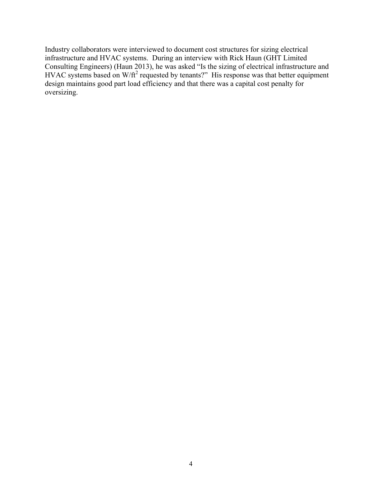Industry collaborators were interviewed to document cost structures for sizing electrical infrastructure and HVAC systems. During an interview with Rick Haun (GHT Limited Consulting Engineers) (Haun 2013), he was asked "Is the sizing of electrical infrastructure and HVAC systems based on W/ft<sup>2</sup> requested by tenants?" His response was that better equipment design maintains good part load efficiency and that there was a capital cost penalty for oversizing.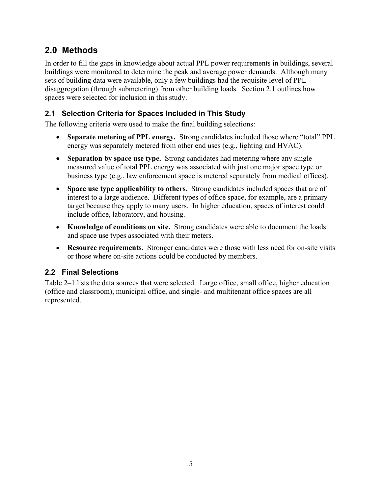### <span id="page-10-0"></span>**2.0 Methods**

In order to fill the gaps in knowledge about actual PPL power requirements in buildings, several buildings were monitored to determine the peak and average power demands. Although many sets of building data were available, only a few buildings had the requisite level of PPL disaggregation (through submetering) from other building loads. Section 2.1 outlines how spaces were selected for inclusion in this study.

#### <span id="page-10-1"></span>**2.1 Selection Criteria for Spaces Included in This Study**

The following criteria were used to make the final building selections:

- **Separate metering of PPL energy.** Strong candidates included those where "total" PPL energy was separately metered from other end uses (e.g., lighting and HVAC).
- **Separation by space use type.** Strong candidates had metering where any single measured value of total PPL energy was associated with just one major space type or business type (e.g., law enforcement space is metered separately from medical offices).
- **Space use type applicability to others.** Strong candidates included spaces that are of interest to a large audience. Different types of office space, for example, are a primary target because they apply to many users. In higher education, spaces of interest could include office, laboratory, and housing.
- **Knowledge of conditions on site.** Strong candidates were able to document the loads and space use types associated with their meters.
- **Resource requirements.** Stronger candidates were those with less need for on-site visits or those where on-site actions could be conducted by members.

### <span id="page-10-2"></span>**2.2 Final Selections**

Table 2–1 lists the data sources that were selected. Large office, small office, higher education (office and classroom), municipal office, and single- and multitenant office spaces are all represented.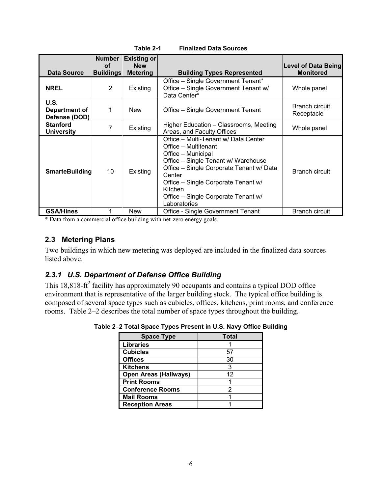|                                        | <b>Number</b>          | <b>Existing or</b>            |                                                                                                                                                                                                                                                                                                 |                                         |
|----------------------------------------|------------------------|-------------------------------|-------------------------------------------------------------------------------------------------------------------------------------------------------------------------------------------------------------------------------------------------------------------------------------------------|-----------------------------------------|
| <b>Data Source</b>                     | Οf<br><b>Buildings</b> | <b>New</b><br><b>Metering</b> | <b>Building Types Represented</b>                                                                                                                                                                                                                                                               | Level of Data Being<br><b>Monitored</b> |
| <b>NREL</b>                            | 2                      | Existing                      | Office – Single Government Tenant*<br>Office - Single Government Tenant w/<br>Data Center*                                                                                                                                                                                                      | Whole panel                             |
| U.S.<br>Department of<br>Defense (DOD) | 1                      | <b>New</b>                    | Office – Single Government Tenant                                                                                                                                                                                                                                                               | <b>Branch circuit</b><br>Receptacle     |
| <b>Stanford</b><br><b>University</b>   | 7                      | Existing                      | Higher Education – Classrooms, Meeting<br>Areas, and Faculty Offices                                                                                                                                                                                                                            | Whole panel                             |
| <b>SmarteBuilding</b>                  | 10                     | Existing                      | Office – Multi-Tenant w/ Data Center<br>Office – Multitenant<br>Office - Municipal<br>Office – Single Tenant w/ Warehouse<br>Office - Single Corporate Tenant w/ Data<br>Center<br>Office – Single Corporate Tenant w/<br><b>Kitchen</b><br>Office – Single Corporate Tenant w/<br>Laboratories | Branch circuit                          |
| <b>GSA/Hines</b>                       |                        | <b>New</b>                    | Office - Single Government Tenant                                                                                                                                                                                                                                                               | Branch circuit                          |

**Table 2-1 Finalized Data Sources**

\* Data from a commercial office building with net-zero energy goals.

#### <span id="page-11-0"></span>**2.3 Metering Plans**

Two buildings in which new metering was deployed are included in the finalized data sources listed above.

#### <span id="page-11-1"></span>*2.3.1 U.S. Department of Defense Office Building*

<span id="page-11-2"></span>This 18,818-ft<sup>2</sup> facility has approximately 90 occupants and contains a typical DOD office environment that is representative of the larger building stock. The typical office building is composed of several space types such as cubicles, offices, kitchens, print rooms, and conference rooms. [Table 2–2](#page-11-2) describes the total number of space types throughout the building.

| <b>Space Type</b>            | <b>Total</b> |
|------------------------------|--------------|
| <b>Libraries</b>             |              |
| <b>Cubicles</b>              | 57           |
| <b>Offices</b>               | 30           |
| <b>Kitchens</b>              |              |
| <b>Open Areas (Hallways)</b> | 12           |
| <b>Print Rooms</b>           |              |
| <b>Conference Rooms</b>      |              |
| <b>Mail Rooms</b>            |              |
| <b>Reception Areas</b>       |              |

**Table 2–2 Total Space Types Present in U.S. Navy Office Building**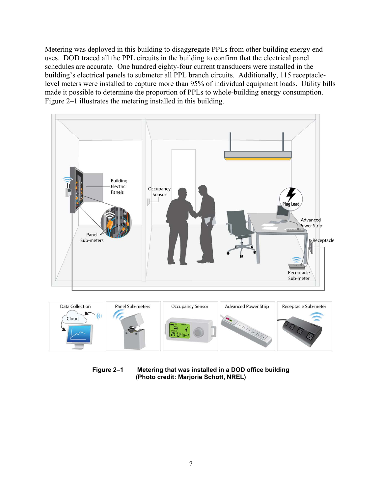Metering was deployed in this building to disaggregate PPLs from other building energy end uses. DOD traced all the PPL circuits in the building to confirm that the electrical panel schedules are accurate. One hundred eighty-four current transducers were installed in the building's electrical panels to submeter all PPL branch circuits. Additionally, 115 receptaclelevel meters were installed to capture more than 95% of individual equipment loads. Utility bills made it possible to determine the proportion of PPLs to whole-building energy consumption. Figure 2–1 illustrates the metering installed in this building.



**Figure 2–1 Metering that was installed in a DOD office building (Photo credit: Marjorie Schott, NREL)**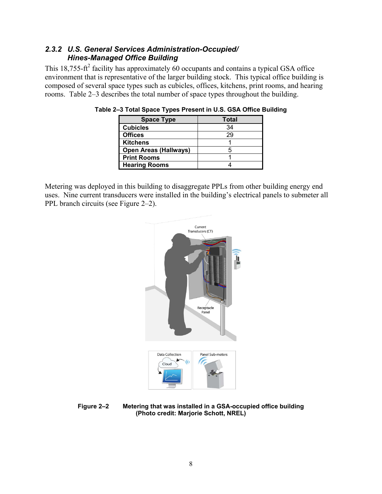#### <span id="page-13-0"></span>*2.3.2 U.S. General Services Administration-Occupied/ Hines-Managed Office Building*

This  $18,755-ft^2$  facility has approximately 60 occupants and contains a typical GSA office environment that is representative of the larger building stock. This typical office building is composed of several space types such as cubicles, offices, kitchens, print rooms, and hearing rooms. [Table 2–3](#page-11-2) describes the total number of space types throughout the building.

| <b>Space Type</b>            | <b>Total</b> |
|------------------------------|--------------|
| <b>Cubicles</b>              | 34           |
| <b>Offices</b>               | 29           |
| <b>Kitchens</b>              |              |
| <b>Open Areas (Hallways)</b> |              |
| <b>Print Rooms</b>           |              |
| <b>Hearing Rooms</b>         |              |

**Table 2–3 Total Space Types Present in U.S. GSA Office Building**

Metering was deployed in this building to disaggregate PPLs from other building energy end uses. Nine current transducers were installed in the building's electrical panels to submeter all PPL branch circuits (see Figure 2–2).



**Figure 2–2 Metering that was installed in a GSA-occupied office building (Photo credit: Marjorie Schott, NREL)**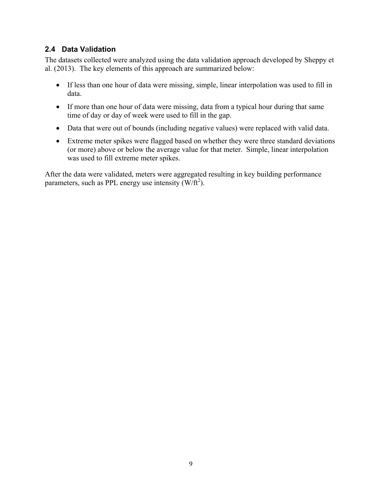#### <span id="page-14-0"></span>**2.4 Data V**a**lidation**

The datasets collected were analyzed using the data validation approach developed by Sheppy et al. (2013). The key elements of this approach are summarized below:

- If less than one hour of data were missing, simple, linear interpolation was used to fill in data.
- If more than one hour of data were missing, data from a typical hour during that same time of day or day of week were used to fill in the gap.
- Data that were out of bounds (including negative values) were replaced with valid data.
- Extreme meter spikes were flagged based on whether they were three standard deviations (or more) above or below the average value for that meter. Simple, linear interpolation was used to fill extreme meter spikes.

After the data were validated, meters were aggregated resulting in key building performance parameters, such as PPL energy use intensity  $(W/\text{ft}^2)$ .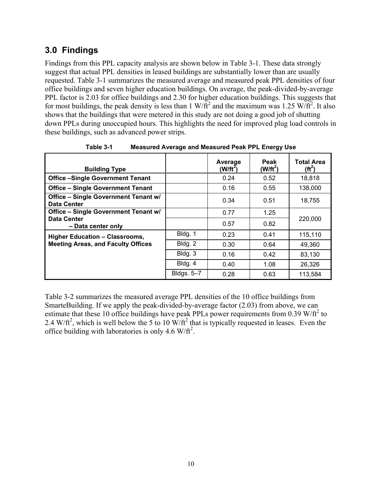### <span id="page-15-0"></span>**3.0 Findings**

Findings from this PPL capacity analysis are shown below in [Table 3-1.](#page-15-1) These data strongly suggest that actual PPL densities in leased buildings are substantially lower than are usually requested. Table 3-1 summarizes the measured average and measured peak PPL densities of four office buildings and seven higher education buildings. On average, the peak-divided-by-average PPL factor is 2.03 for office buildings and 2.30 for higher education buildings. This suggests that for most buildings, the peak density is less than 1 W/ $\hat{ft}^2$  and the maximum was 1.25 W/ $\hat{ft}^2$ . It also shows that the buildings that were metered in this study are not doing a good job of shutting down PPLs during unoccupied hours. This highlights the need for improved plug load controls in these buildings, such as advanced power strips.

<span id="page-15-1"></span>

| <b>Building Type</b>                                       |            | Average<br>$(W/ft^2)$ | Peak<br>$(W/ft^2)$ | <b>Total Area</b><br>$(f t^2)$ |
|------------------------------------------------------------|------------|-----------------------|--------------------|--------------------------------|
| <b>Office -Single Government Tenant</b>                    |            | 0.24                  | 0.52               | 18,818                         |
| <b>Office - Single Government Tenant</b>                   |            | 0.16                  | 0.55               | 138,000                        |
| Office - Single Government Tenant w/<br><b>Data Center</b> |            | 0.34                  | 0.51               | 18.755                         |
| <b>Office - Single Government Tenant w/</b>                |            | 0.77                  | 1.25               |                                |
| <b>Data Center</b><br>- Data center only                   |            | 0.57                  | 0.82               | 220,000                        |
| <b>Higher Education - Classrooms,</b>                      | Bldg. 1    | 0.23                  | 0.41               | 115,110                        |
| <b>Meeting Areas, and Faculty Offices</b>                  | Bldg. 2    | 0.30                  | 0.64               | 49.360                         |
|                                                            | Bldg. 3    | 0.16                  | 0.42               | 83,130                         |
|                                                            | Bldg. 4    | 0.40                  | 1.08               | 26,326                         |
|                                                            | Bldgs. 5-7 | 0.28                  | 0.63               | 113,584                        |

**Table 3-1 Measured Average and Measured Peak PPL Energy Use**

[Table 3-2](#page-16-0) summarizes the measured average PPL densities of the 10 office buildings from SmarteBuilding. If we apply the peak-divided-by-average factor (2.03) from above, we can estimate that these 10 office buildings have peak PPLs power requirements from 0.39 W/ $\text{ft}^2$  to 2.4 W/ft<sup>2</sup>, which is well below the 5 to 10 W/ft<sup>2</sup> that is typically requested in leases. Even the office building with laboratories is only 4.6 W/ $\text{ft}^2$ .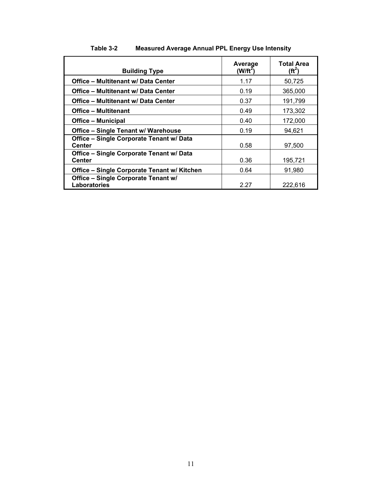<span id="page-16-0"></span>

| <b>Building Type</b>                                       | Average<br>$(W/ft^2)$ | <b>Total Area</b><br>$(f t^2)$ |
|------------------------------------------------------------|-----------------------|--------------------------------|
| Office - Multitenant w/ Data Center                        | 1.17                  | 50,725                         |
| Office - Multitenant w/ Data Center                        | 0.19                  | 365,000                        |
| Office – Multitenant w/ Data Center                        | 0.37                  | 191,799                        |
| <b>Office - Multitenant</b>                                | 0.49                  | 173,302                        |
| <b>Office – Municipal</b>                                  | 0.40                  | 172,000                        |
| Office - Single Tenant w/ Warehouse                        | 0.19                  | 94.621                         |
| Office - Single Corporate Tenant w/ Data<br><b>Center</b>  | 0.58                  | 97,500                         |
| Office - Single Corporate Tenant w/ Data<br><b>Center</b>  | 0.36                  | 195,721                        |
| Office - Single Corporate Tenant w/ Kitchen                | 0.64                  | 91,980                         |
| <b>Office - Single Corporate Tenant w/</b><br>Laboratories | 2.27                  | 222.616                        |

#### **Table 3-2 Measured Average Annual PPL Energy Use Intensity**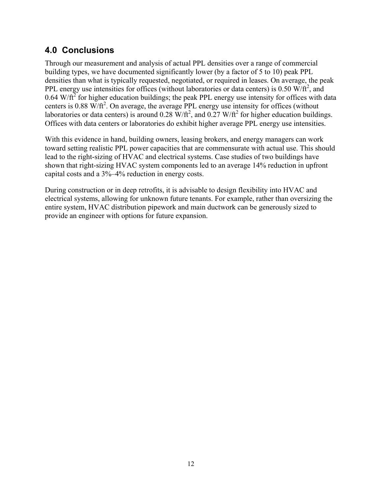### <span id="page-17-0"></span>**4.0 Conclusions**

Through our measurement and analysis of actual PPL densities over a range of commercial building types, we have documented significantly lower (by a factor of 5 to 10) peak PPL densities than what is typically requested, negotiated, or required in leases. On average, the peak PPL energy use intensities for offices (without laboratories or data centers) is  $0.50 \text{ W/ft}^2$ , and  $0.64$  W/ $\text{ft}^2$  for higher education buildings; the peak PPL energy use intensity for offices with data centers is  $0.88 \text{ W/f}^2$ . On average, the average PPL energy use intensity for offices (without laboratories or data centers) is around 0.28 W/ft<sup>2</sup>, and 0.27 W/ft<sup>2</sup> for higher education buildings. Offices with data centers or laboratories do exhibit higher average PPL energy use intensities.

With this evidence in hand, building owners, leasing brokers, and energy managers can work toward setting realistic PPL power capacities that are commensurate with actual use. This should lead to the right-sizing of HVAC and electrical systems. Case studies of two buildings have shown that right-sizing HVAC system components led to an average 14% reduction in upfront capital costs and a 3%–4% reduction in energy costs.

During construction or in deep retrofits, it is advisable to design flexibility into HVAC and electrical systems, allowing for unknown future tenants. For example, rather than oversizing the entire system, HVAC distribution pipework and main ductwork can be generously sized to provide an engineer with options for future expansion.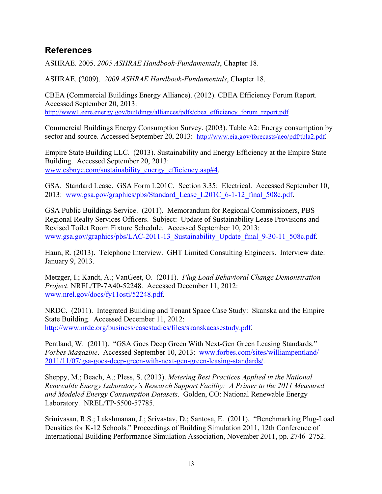### <span id="page-18-0"></span>**References**

ASHRAE. 2005. *2005 ASHRAE Handbook-Fundamentals*, Chapter 18.

ASHRAE. (2009). *2009 ASHRAE Handbook-Fundamentals*, Chapter 18.

CBEA (Commercial Buildings Energy Alliance). (2012). CBEA Efficiency Forum Report. Accessed September 20, 2013: [http://www1.eere.energy.gov/buildings/alliances/pdfs/cbea\\_efficiency\\_forum\\_report.pdf](http://www1.eere.energy.gov/buildings/alliances/pdfs/cbea_efficiency_forum_report.pdf)

Commercial Buildings Energy Consumption Survey. (2003). Table A2: Energy consumption by sector and source. Accessed September 20, 2013: [http://www.eia.gov/forecasts/aeo/pdf/tbla2.pdf.](http://www.eia.gov/forecasts/aeo/pdf/tbla2.pdf)

Empire State Building LLC. (2013). Sustainability and Energy Efficiency at the Empire State Building. Accessed September 20, 2013: [www.esbnyc.com/sustainability\\_energy\\_efficiency.asp#4.](http://www.esbnyc.com/sustainability_energy_efficiency.asp#4)

GSA. Standard Lease. GSA Form L201C. Section 3.35: Electrical. Accessed September 10, 2013: [www.gsa.gov/graphics/pbs/Standard\\_Lease\\_L201C\\_6-1-12\\_final\\_508c.pdf.](http://www.gsa.gov/graphics/pbs/Standard_Lease_L201C_6-1-12_final_508c.pdf)

GSA Public Buildings Service. (2011). Memorandum for Regional Commissioners, PBS Regional Realty Services Officers. Subject: Update of Sustainability Lease Provisions and Revised Toilet Room Fixture Schedule. Accessed September 10, 2013: [www.gsa.gov/graphics/pbs/LAC-2011-13\\_Sustainability\\_Update\\_final\\_9-30-11\\_508c.pdf.](http://www.gsa.gov/graphics/pbs/LAC-2011-13_Sustainability_Update_final_9-30-11_508c.pdf)

Haun, R. (2013). Telephone Interview. GHT Limited Consulting Engineers. Interview date: January 9, 2013.

Metzger, I.; Kandt, A.; VanGeet, O. (2011). *Plug Load Behavioral Change Demonstration Project*. NREL/TP-7A40-52248. Accessed December 11, 2012: [www.nrel.gov/docs/fy11osti/52248.pdf.](http://www.nrel.gov/docs/fy11osti/52248.pdf)

NRDC. (2011). Integrated Building and Tenant Space Case Study: Skanska and the Empire State Building. Accessed December 11, 2012: [http://www.nrdc.org/business/casestudies/files/skanskacasestudy.pdf.](http://www.nrdc.org/business/casestudies/files/skanskacasestudy.pdf)

Pentland, W. (2011). "GSA Goes Deep Green With Next-Gen Green Leasing Standards." *Forbes Magazine*. Accessed September 10, 2013: [www.forbes.com/sites/williampentland/](http://www.forbes.com/sites/williampentland/%202011/11/07/gsa-goes-deep-green-with-next-gen-green-leasing-standards/) [2011/11/07/gsa-goes-deep-green-with-next-gen-green-leasing-standards/.](http://www.forbes.com/sites/williampentland/%202011/11/07/gsa-goes-deep-green-with-next-gen-green-leasing-standards/)

Sheppy, M.; Beach, A.; Pless, S. (2013). *Metering Best Practices Applied in the National Renewable Energy Laboratory's Research Support Facility: A Primer to the 2011 Measured and Modeled Energy Consumption Datasets*. Golden, CO: National Renewable Energy Laboratory. NREL/TP-5500-57785.

Srinivasan, R.S.; Lakshmanan, J.; Srivastav, D.; Santosa, E. (2011). "Benchmarking Plug-Load Densities for K-12 Schools." Proceedings of Building Simulation 2011, 12th Conference of International Building Performance Simulation Association, November 2011, pp. 2746–2752.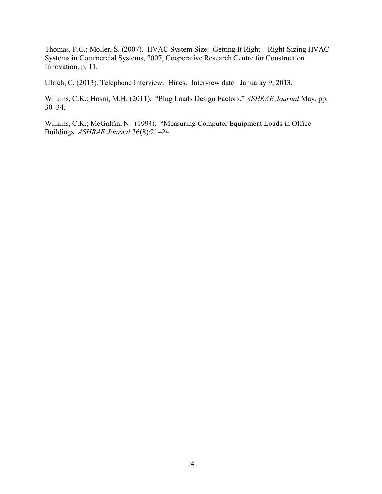Thomas, P.C.; Moller, S. (2007). HVAC System Size: Getting It Right—Right-Sizing HVAC Systems in Commercial Systems, 2007, Cooperative Research Centre for Construction Innovation, p. 11.

Ulrich, C. (2013). Telephone Interview. Hines. Interview date: Januaray 9, 2013.

Wilkins, C.K.; Hosni, M.H. (2011). "Plug Loads Design Factors." *ASHRAE Journal* May, pp. 30–34.

Wilkins, C.K.; McGaffin, N. (1994). "Measuring Computer Equipment Loads in Office Buildings. *ASHRAE Journal* 36(8):21–24.